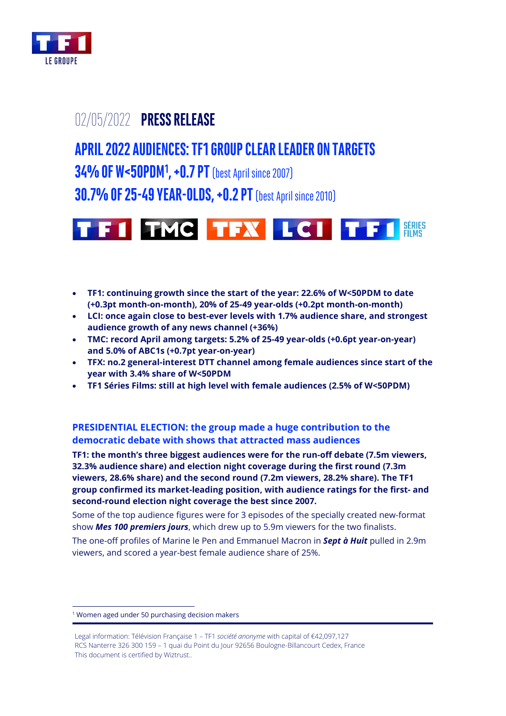

## 02/05/2022 **PRESS RELEASE**

# **APRIL 2022 AUDIENCES:TF1 GROUP CLEAR LEADER ON TARGETS 34% OF W<50PDM<sup>1</sup> , +0.7 PT** (best April since 2007) **30.7% OF 25-49 YEAR-OLDS, +0.2 PT** (best April since 2010)



- **TF1: continuing growth since the start of the year: 22.6% of W<50PDM to date (+0.3pt month-on-month), 20% of 25-49 year-olds (+0.2pt month-on-month)**
- **LCI: once again close to best-ever levels with 1.7% audience share, and strongest audience growth of any news channel (+36%)**
- **TMC: record April among targets: 5.2% of 25-49 year-olds (+0.6pt year-on-year) and 5.0% of ABC1s (+0.7pt year-on-year)**
- **TFX: no.2 general-interest DTT channel among female audiences since start of the year with 3.4% share of W<50PDM**
- **TF1 Séries Films: still at high level with female audiences (2.5% of W<50PDM)**

**PRESIDENTIAL ELECTION: the group made a huge contribution to the democratic debate with shows that attracted mass audiences**

**TF1: the month's three biggest audiences were for the run-off debate (7.5m viewers, 32.3% audience share) and election night coverage during the first round (7.3m viewers, 28.6% share) and the second round (7.2m viewers, 28.2% share). The TF1 group confirmed its market-leading position, with audience ratings for the first- and second-round election night coverage the best since 2007.**

Some of the top audience figures were for 3 episodes of the specially created new-format show *Mes 100 premiers jours*, which drew up to 5.9m viewers for the two finalists.

The one-off profiles of Marine le Pen and Emmanuel Macron in *Sept à Huit* pulled in 2.9m viewers, and scored a year-best female audience share of 25%.

<sup>&</sup>lt;sup>1</sup> Women aged under 50 purchasing decision makers

Legal information: Télévision Française 1 – TF1 *société anonyme* with capital of €42,097,127 RCS Nanterre 326 300 159 – 1 quai du Point du Jour 92656 Boulogne-Billancourt Cedex, France This document is certified by Wiztrust..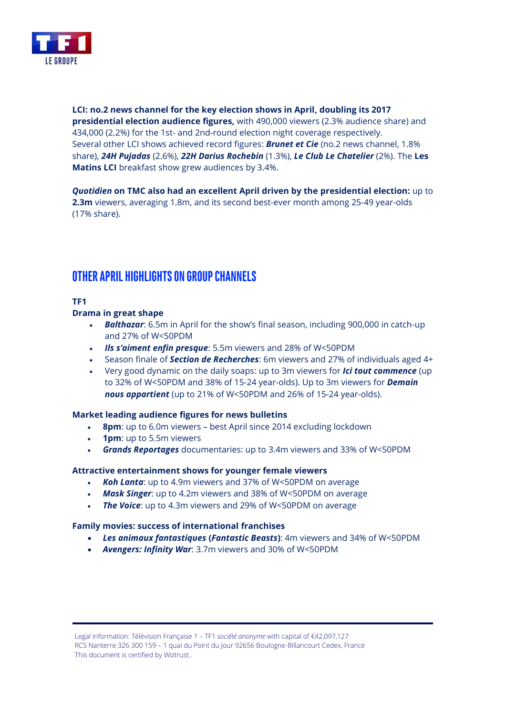

**LCI: no.2 news channel for the key election shows in April, doubling its 2017 presidential election audience figures,** with 490,000 viewers (2.3% audience share) and 434,000 (2.2%) for the 1st- and 2nd-round election night coverage respectively. Several other LCI shows achieved record figures: *Brunet et Cie* (no.2 news channel, 1.8% share), *24H Pujadas* (2.6%), *22H Darius Rochebin* (1.3%), *Le Club Le Chatelier* (2%). The **Les Matins LCI** breakfast show grew audiences by 3.4%.

*Quotidien* **on TMC also had an excellent April driven by the presidential election:** up to **2.3m** viewers, averaging 1.8m, and its second best-ever month among 25-49 year-olds (17% share).

### **OTHER APRIL HIGHLIGHTS ON GROUP CHANNELS**

#### **TF1**

#### **Drama in great shape**

- *Balthazar*: 6.5m in April for the show's final season, including 900,000 in catch-up and 27% of W<50PDM
- *Ils s'aiment enfin presque*: 5.5m viewers and 28% of W<50PDM
- Season finale of *Section de Recherches*: 6m viewers and 27% of individuals aged 4+
- Very good dynamic on the daily soaps: up to 3m viewers for *Ici tout commence* (up to 32% of W<50PDM and 38% of 15-24 year-olds). Up to 3m viewers for *Demain nous appartient* (up to 21% of W<50PDM and 26% of 15-24 year-olds).

#### **Market leading audience figures for news bulletins**

- **8pm**: up to 6.0m viewers best April since 2014 excluding lockdown
- **1pm**: up to 5.5m viewers
- *Grands Reportages* documentaries: up to 3.4m viewers and 33% of W<50PDM

#### **Attractive entertainment shows for younger female viewers**

- *Koh Lanta*: up to 4.9m viewers and 37% of W<50PDM on average
- *Mask Singer*: up to 4.2m viewers and 38% of W<50PDM on average
- **The Voice**: up to 4.3m viewers and 29% of W<50PDM on average

#### **Family movies: success of international franchises**

- *Les animaux fantastiques* **(***Fantastic Beasts***)**: 4m viewers and 34% of W<50PDM
- *Avengers: Infinity War*: 3.7m viewers and 30% of W<50PDM